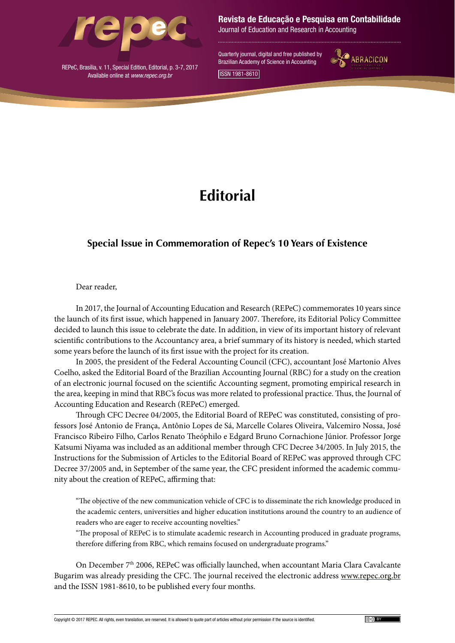

REPeC, Brasília, v. 11, Special Edition, Editorial, p. 3-7, 2017 Available online at *www.repec.org.br*

Revista de Educação e Pesquisa em Contabilidade

Journal of Education and Research in Accounting

Quarterly journal, digital and free published by Brazilian Academy of Science in Accounting



ISSN 1981-8610

## **Editorial**

## **Special Issue in Commemoration of Repec's 10 Years of Existence**

## Dear reader,

In 2017, the Journal of Accounting Education and Research (REPeC) commemorates 10 years since the launch of its first issue, which happened in January 2007. Therefore, its Editorial Policy Committee decided to launch this issue to celebrate the date. In addition, in view of its important history of relevant scientific contributions to the Accountancy area, a brief summary of its history is needed, which started some years before the launch of its first issue with the project for its creation.

In 2005, the president of the Federal Accounting Council (CFC), accountant José Martonio Alves Coelho, asked the Editorial Board of the Brazilian Accounting Journal (RBC) for a study on the creation of an electronic journal focused on the scientific Accounting segment, promoting empirical research in the area, keeping in mind that RBC's focus was more related to professional practice. Thus, the Journal of Accounting Education and Research (REPeC) emerged.

Through CFC Decree 04/2005, the Editorial Board of REPeC was constituted, consisting of professors José Antonio de França, Antônio Lopes de Sá, Marcelle Colares Oliveira, Valcemiro Nossa, José Francisco Ribeiro Filho, Carlos Renato Theóphilo e Edgard Bruno Cornachione Júnior. Professor Jorge Katsumi Niyama was included as an additional member through CFC Decree 34/2005. In July 2015, the Instructions for the Submission of Articles to the Editorial Board of REPeC was approved through CFC Decree 37/2005 and, in September of the same year, the CFC president informed the academic community about the creation of REPeC, affirming that:

"The objective of the new communication vehicle of CFC is to disseminate the rich knowledge produced in the academic centers, universities and higher education institutions around the country to an audience of readers who are eager to receive accounting novelties."

"The proposal of REPeC is to stimulate academic research in Accounting produced in graduate programs, therefore differing from RBC, which remains focused on undergraduate programs."

On December 7<sup>th</sup> 2006, REPeC was officially launched, when accountant Maria Clara Cavalcante Bugarim was already presiding the CFC. The journal received the electronic address [www.repec.org.br](http://www.repec.org.br) and the ISSN 1981-8610, to be published every four months.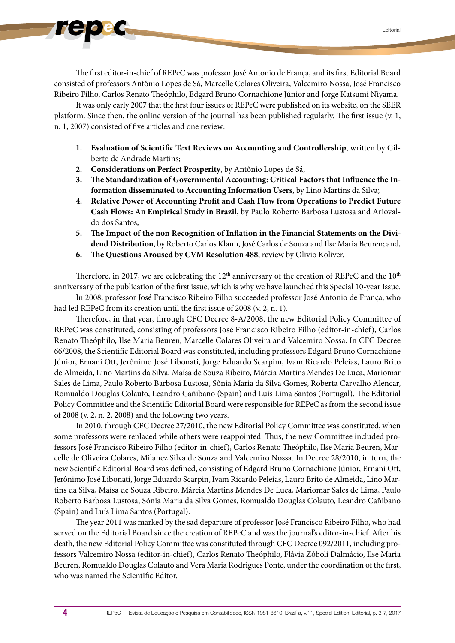The first editor-in-chief of REPeC was professor José Antonio de França, and its first Editorial Board consisted of professors Antônio Lopes de Sá, Marcelle Colares Oliveira, Valcemiro Nossa, José Francisco Ribeiro Filho, Carlos Renato Theóphilo, Edgard Bruno Cornachione Júnior and Jorge Katsumi Niyama.

It was only early 2007 that the first four issues of REPeC were published on its website, on the SEER platform. Since then, the online version of the journal has been published regularly. The first issue (v. 1, n. 1, 2007) consisted of five articles and one review:

- **1. Evaluation of Scientific Text Reviews on Accounting and Controllership**, written by Gilberto de Andrade Martins;
- **2. Considerations on Perfect Prosperity**, by Antônio Lopes de Sá;
- **3. The Standardization of Governmental Accounting: Critical Factors that Influence the Information disseminated to Accounting Information Users**, by Lino Martins da Silva;
- **4. Relative Power of Accounting Profit and Cash Flow from Operations to Predict Future Cash Flows: An Empirical Study in Brazil**, by Paulo Roberto Barbosa Lustosa and Ariovaldo dos Santos;
- **5. The Impact of the non Recognition of Inflation in the Financial Statements on the Dividend Distribution**, by Roberto Carlos Klann, José Carlos de Souza and Ilse Maria Beuren; and,
- **6. The Questions Aroused by CVM Resolution 488**, review by Olivio Koliver.

Therefore, in 2017, we are celebrating the  $12<sup>th</sup>$  anniversary of the creation of REPeC and the  $10<sup>th</sup>$ anniversary of the publication of the first issue, which is why we have launched this Special 10-year Issue.

In 2008, professor José Francisco Ribeiro Filho succeeded professor José Antonio de França, who had led REPeC from its creation until the first issue of 2008 (v. 2, n. 1).

Therefore, in that year, through CFC Decree 8-A/2008, the new Editorial Policy Committee of REPeC was constituted, consisting of professors José Francisco Ribeiro Filho (editor-in-chief), Carlos Renato Theóphilo, Ilse Maria Beuren, Marcelle Colares Oliveira and Valcemiro Nossa. In CFC Decree 66/2008, the Scientific Editorial Board was constituted, including professors Edgard Bruno Cornachione Júnior, Ernani Ott, Jerônimo José Libonati, Jorge Eduardo Scarpim, Ivam Ricardo Peleias, Lauro Brito de Almeida, Lino Martins da Silva, Maísa de Souza Ribeiro, Márcia Martins Mendes De Luca, Mariomar Sales de Lima, Paulo Roberto Barbosa Lustosa, Sônia Maria da Silva Gomes, Roberta Carvalho Alencar, Romualdo Douglas Colauto, Leandro Cañibano (Spain) and Luís Lima Santos (Portugal). The Editorial Policy Committee and the Scientific Editorial Board were responsible for REPeC as from the second issue of 2008 (v. 2, n. 2, 2008) and the following two years.

In 2010, through CFC Decree 27/2010, the new Editorial Policy Committee was constituted, when some professors were replaced while others were reappointed. Thus, the new Committee included professors José Francisco Ribeiro Filho (editor-in-chief), Carlos Renato Theóphilo, Ilse Maria Beuren, Marcelle de Oliveira Colares, Milanez Silva de Souza and Valcemiro Nossa. In Decree 28/2010, in turn, the new Scientific Editorial Board was defined, consisting of Edgard Bruno Cornachione Júnior, Ernani Ott, Jerônimo José Libonati, Jorge Eduardo Scarpin, Ivam Ricardo Peleias, Lauro Brito de Almeida, Lino Martins da Silva, Maísa de Souza Ribeiro, Márcia Martins Mendes De Luca, Mariomar Sales de Lima, Paulo Roberto Barbosa Lustosa, Sônia Maria da Silva Gomes, Romualdo Douglas Colauto, Leandro Cañibano (Spain) and Luís Lima Santos (Portugal).

The year 2011 was marked by the sad departure of professor José Francisco Ribeiro Filho, who had served on the Editorial Board since the creation of REPeC and was the journal's editor-in-chief. After his death, the new Editorial Policy Committee was constituted through CFC Decree 092/2011, including professors Valcemiro Nossa (editor-in-chief), Carlos Renato Theóphilo, Flávia Zóboli Dalmácio, Ilse Maria Beuren, Romualdo Douglas Colauto and Vera Maria Rodrigues Ponte, under the coordination of the first, who was named the Scientific Editor.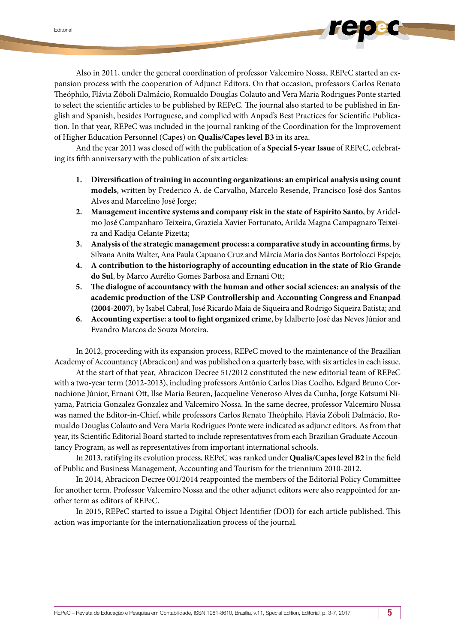Also in 2011, under the general coordination of professor Valcemiro Nossa, REPeC started an expansion process with the cooperation of Adjunct Editors. On that occasion, professors Carlos Renato Theóphilo, Flávia Zóboli Dalmácio, Romualdo Douglas Colauto and Vera Maria Rodrigues Ponte started to select the scientific articles to be published by REPeC. The journal also started to be published in English and Spanish, besides Portuguese, and complied with Anpad's Best Practices for Scientific Publication. In that year, REPeC was included in the journal ranking of the Coordination for the Improvement of Higher Education Personnel (Capes) on **Qualis/Capes level B3** in its area.

And the year 2011 was closed off with the publication of a **Special 5-year Issue** of REPeC, celebrating its fifth anniversary with the publication of six articles:

- **1. Diversification of training in accounting organizations: an empirical analysis using count models**, written by Frederico A. de Carvalho, Marcelo Resende, Francisco José dos Santos Alves and Marcelino José Jorge;
- **2. Management incentive systems and company risk in the state of Espírito Santo**, by Aridelmo José Campanharo Teixeira, Graziela Xavier Fortunato, Arilda Magna Campagnaro Teixeira and Kadija Celante Pizetta;
- **3. Analysis of the strategic management process: a comparative study in accounting firms**, by Silvana Anita Walter, Ana Paula Capuano Cruz and Márcia Maria dos Santos Bortolocci Espejo;
- **4. A contribution to the historiography of accounting education in the state of Rio Grande do Sul**, by Marco Aurélio Gomes Barbosa and Ernani Ott;
- **5. The dialogue of accountancy with the human and other social sciences: an analysis of the academic production of the USP Controllership and Accounting Congress and Enanpad (2004-2007)**, by Isabel Cabral, José Ricardo Maia de Siqueira and Rodrigo Siqueira Batista; and
- **6. Accounting expertise: a tool to fight organized crime**, by Idalberto José das Neves Júnior and Evandro Marcos de Souza Moreira.

In 2012, proceeding with its expansion process, REPeC moved to the maintenance of the Brazilian Academy of Accountancy (Abracicon) and was published on a quarterly base, with six articles in each issue.

At the start of that year, Abracicon Decree 51/2012 constituted the new editorial team of REPeC with a two-year term (2012-2013), including professors Antônio Carlos Dias Coelho, Edgard Bruno Cornachione Júnior, Ernani Ott, Ilse Maria Beuren, Jacqueline Veneroso Alves da Cunha, Jorge Katsumi Niyama, Patricia Gonzalez Gonzalez and Valcemiro Nossa. In the same decree, professor Valcemiro Nossa was named the Editor-in-Chief, while professors Carlos Renato Theóphilo, Flávia Zóboli Dalmácio, Romualdo Douglas Colauto and Vera Maria Rodrigues Ponte were indicated as adjunct editors. As from that year, its Scientific Editorial Board started to include representatives from each Brazilian Graduate Accountancy Program, as well as representatives from important international schools.

In 2013, ratifying its evolution process, REPeC was ranked under **Qualis/Capeslevel B2** in the field of Public and Business Management, Accounting and Tourism for the triennium 2010-2012.

In 2014, Abracicon Decree 001/2014 reappointed the members of the Editorial Policy Committee for another term. Professor Valcemiro Nossa and the other adjunct editors were also reappointed for another term as editors of REPeC.

In 2015, REPeC started to issue a Digital Object Identifier (DOI) for each article published. This action was importante for the internationalization process of the journal.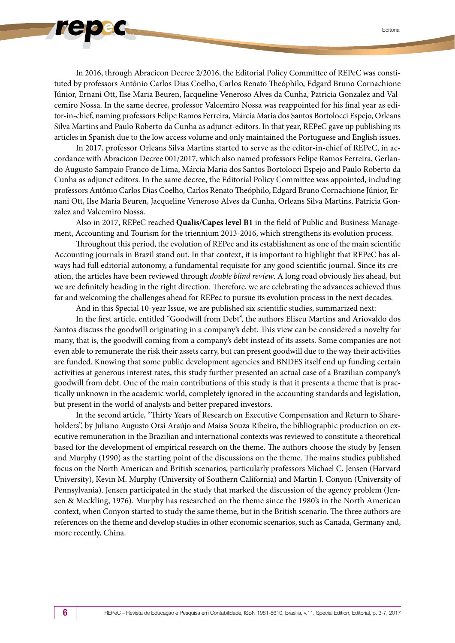In 2016, through Abracicon Decree 2/2016, the Editorial Policy Committee of REPeC was constituted by professors Antônio Carlos Dias Coelho, Carlos Renato Theóphilo, Edgard Bruno Cornachione Júnior, Ernani Ott, Ilse Maria Beuren, Jacqueline Veneroso Alves da Cunha, Patricia Gonzalez and Valcemiro Nossa. In the same decree, professor Valcemiro Nossa was reappointed for his final year as editor-in-chief, naming professors Felipe Ramos Ferreira, Márcia Maria dos Santos Bortolocci Espejo, Orleans Silva Martins and Paulo Roberto da Cunha as adjunct-editors. In that year, REPeC gave up publishing its articles in Spanish due to the low access volume and only maintained the Portuguese and English issues.

In 2017, professor Orleans Silva Martins started to serve as the editor-in-chief of REPeC, in accordance with Abracicon Decree 001/2017, which also named professors Felipe Ramos Ferreira, Gerlando Augusto Sampaio Franco de Lima, Márcia Maria dos Santos Bortolocci Espejo and Paulo Roberto da Cunha as adjunct editors. In the same decree, the Editorial Policy Committee was appointed, including professors Antônio Carlos Dias Coelho, Carlos Renato Theóphilo, Edgard Bruno Cornachione Júnior, Ernani Ott, Ilse Maria Beuren, Jacqueline Veneroso Alves da Cunha, Orleans Silva Martins, Patricia Gonzalez and Valcemiro Nossa.

Also in 2017, REPeC reached **Qualis/Capes level B1** in the field of Public and Business Management, Accounting and Tourism for the triennium 2013-2016, which strengthens its evolution process.

Throughout this period, the evolution of REPec and its establishment as one of the main scientific Accounting journals in Brazil stand out. In that context, it is important to highlight that REPeC has always had full editorial autonomy, a fundamental requisite for any good scientific journal. Since its creation, the articles have been reviewed through *double blind review*. A long road obviously lies ahead, but we are definitely heading in the right direction. Therefore, we are celebrating the advances achieved thus far and welcoming the challenges ahead for REPec to pursue its evolution process in the next decades.

And in this Special 10-year Issue, we are published six scientific studies, summarized next:

In the first article, entitled "Goodwill from Debt", the authors Eliseu Martins and Ariovaldo dos Santos discuss the goodwill originating in a company's debt. This view can be considered a novelty for many, that is, the goodwill coming from a company's debt instead of its assets. Some companies are not even able to remunerate the risk their assets carry, but can present goodwill due to the way their activities are funded. Knowing that some public development agencies and BNDES itself end up funding certain activities at generous interest rates, this study further presented an actual case of a Brazilian company's goodwill from debt. One of the main contributions of this study is that it presents a theme that is practically unknown in the academic world, completely ignored in the accounting standards and legislation, but present in the world of analysts and better prepared investors.

In the second article, "Thirty Years of Research on Executive Compensation and Return to Shareholders", by Juliano Augusto Orsi Araújo and Maísa Souza Ribeiro, the bibliographic production on executive remuneration in the Brazilian and international contexts was reviewed to constitute a theoretical based for the development of empirical research on the theme. The authors choose the study by Jensen and Murphy (1990) as the starting point of the discussions on the theme. The mains studies published focus on the North American and British scenarios, particularly professors Michael C. Jensen (Harvard University), Kevin M. Murphy (University of Southern California) and Martin J. Conyon (University of Pennsylvania). Jensen participated in the study that marked the discussion of the agency problem (Jensen & Meckling, 1976). Murphy has researched on the theme since the 1980's in the North American context, when Conyon started to study the same theme, but in the British scenario. The three authors are references on the theme and develop studies in other economic scenarios, such as Canada, Germany and, more recently, China.